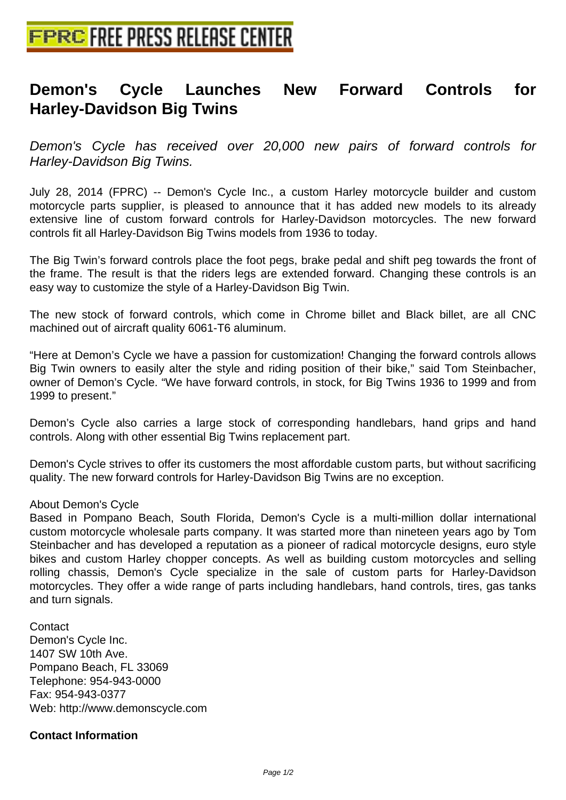## **[Demon's Cycle Launches N](http://www.free-press-release-center.info)ew Forward Controls for Harley-Davidson Big Twins**

Demon's Cycle has received over 20,000 new pairs of forward controls for Harley-Davidson Big Twins.

July 28, 2014 (FPRC) -- Demon's Cycle Inc., a custom Harley motorcycle builder and custom motorcycle parts supplier, is pleased to announce that it has added new models to its already extensive line of custom forward controls for Harley-Davidson motorcycles. The new forward controls fit all Harley-Davidson Big Twins models from 1936 to today.

The Big Twin's forward controls place the foot pegs, brake pedal and shift peg towards the front of the frame. The result is that the riders legs are extended forward. Changing these controls is an easy way to customize the style of a Harley-Davidson Big Twin.

The new stock of forward controls, which come in Chrome billet and Black billet, are all CNC machined out of aircraft quality 6061-T6 aluminum.

"Here at Demon's Cycle we have a passion for customization! Changing the forward controls allows Big Twin owners to easily alter the style and riding position of their bike," said Tom Steinbacher, owner of Demon's Cycle. "We have forward controls, in stock, for Big Twins 1936 to 1999 and from 1999 to present."

Demon's Cycle also carries a large stock of corresponding handlebars, hand grips and hand controls. Along with other essential Big Twins replacement part.

Demon's Cycle strives to offer its customers the most affordable custom parts, but without sacrificing quality. The new forward controls for Harley-Davidson Big Twins are no exception.

## About Demon's Cycle

Based in Pompano Beach, South Florida, Demon's Cycle is a multi-million dollar international custom motorcycle wholesale parts company. It was started more than nineteen years ago by Tom Steinbacher and has developed a reputation as a pioneer of radical motorcycle designs, euro style bikes and custom Harley chopper concepts. As well as building custom motorcycles and selling rolling chassis, Demon's Cycle specialize in the sale of custom parts for Harley-Davidson motorcycles. They offer a wide range of parts including handlebars, hand controls, tires, gas tanks and turn signals.

**Contact** Demon's Cycle Inc. 1407 SW 10th Ave. Pompano Beach, FL 33069 Telephone: 954-943-0000 Fax: 954-943-0377 Web: http://www.demonscycle.com 

## **Contact Information**